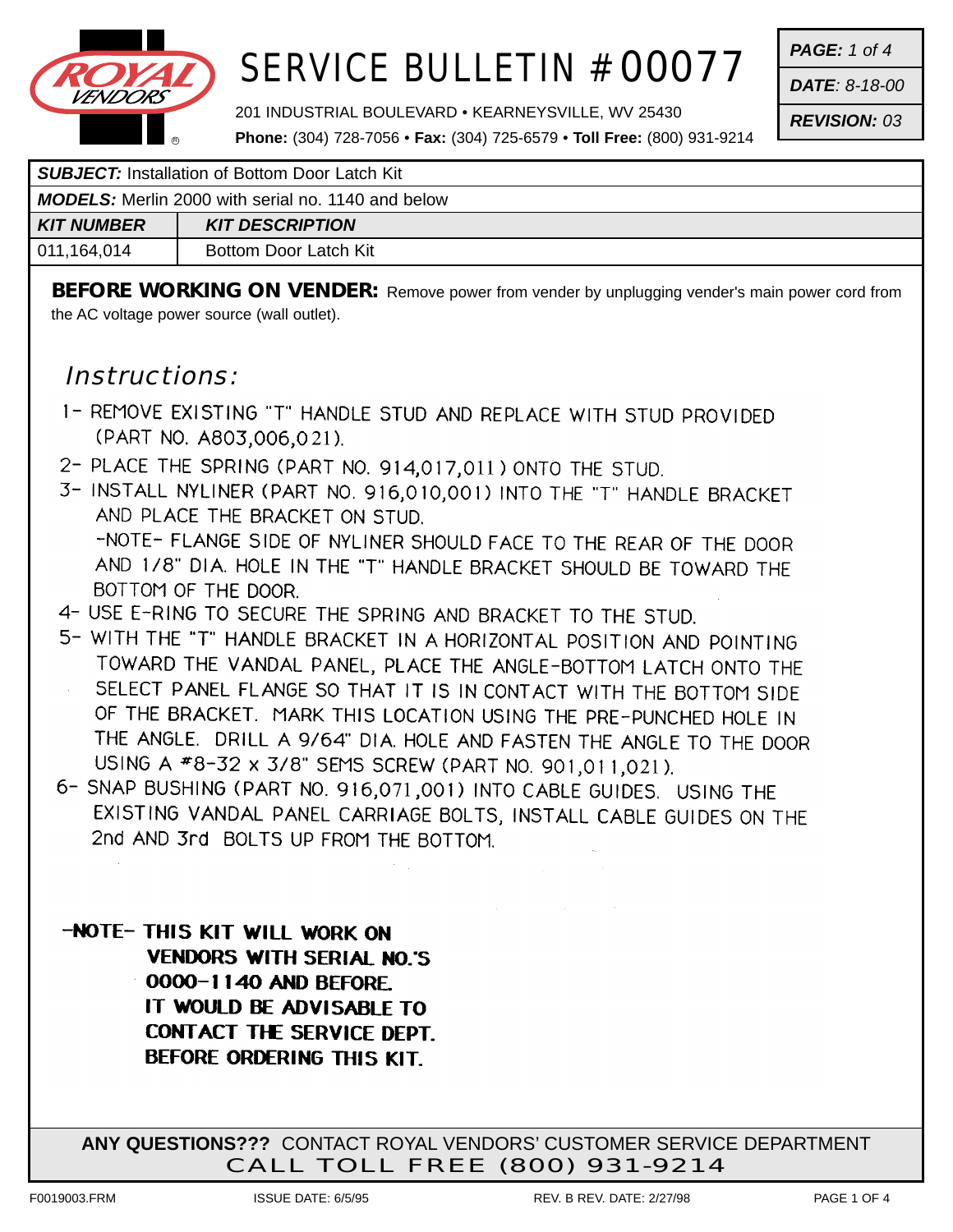

*PAGE: 1 of 4*

*DATE: 8-18-00*

*REVISION: 03*

201 INDUSTRIAL BOULEVARD • KEARNEYSVILLE, WV 25430

**Phone:** (304) 728-7056 • **Fax:** (304) 725-6579 • **Toll Free:** (800) 931-9214

| <b>SUBJECT:</b> Installation of Bottom Door Latch Kit |
|-------------------------------------------------------|
|-------------------------------------------------------|

| <b>MODELS:</b> Merlin 2000 with serial no. 1140 and below |                        |
|-----------------------------------------------------------|------------------------|
| KIT NUMBER                                                | <b>KIT DESCRIPTION</b> |
| 011,164,014                                               | Bottom Door Latch Kit  |

**BEFORE WORKING ON VENDER:** Remove power from vender by unplugging vender's main power cord from the AC voltage power source (wall outlet).

### Instructions:

- 1- REMOVE EXISTING "T" HANDLE STUD AND REPLACE WITH STUD PROVIDED (PART NO. A803,006,021).
- 2- PLACE THE SPRING (PART NO. 914,017,011) ONTO THE STUD.
- 3- INSTALL NYLINER (PART NO. 916,010,001) INTO THE "T" HANDLE BRACKET AND PLACE THE BRACKET ON STUD. -NOTE- FLANGE SIDE OF NYLINER SHOULD FACE TO THE REAR OF THE DOOR AND 1/8" DIA. HOLE IN THE "T" HANDLE BRACKET SHOULD BE TOWARD THE
	- BOTTOM OF THE DOOR.
- 4- USE E-RING TO SECURE THE SPRING AND BRACKET TO THE STUD.
- 5- WITH THE "T" HANDLE BRACKET IN A HORIZONTAL POSITION AND POINTING TOWARD THE VANDAL PANEL, PLACE THE ANGLE-BOTTOM LATCH ONTO THE SELECT PANEL FLANGE SO THAT IT IS IN CONTACT WITH THE BOTTOM SIDE OF THE BRACKET. MARK THIS LOCATION USING THE PRE-PUNCHED HOLE IN THE ANGLE. DRILL A 9/64" DIA. HOLE AND FASTEN THE ANGLE TO THE DOOR USING A #8-32 x 3/8" SEMS SCREW (PART NO. 901,011,021).
- 6- SNAP BUSHING (PART NO. 916,071,001) INTO CABLE GUIDES. USING THE EXISTING VANDAL PANEL CARRIAGE BOLTS, INSTALL CABLE GUIDES ON THE 2nd AND 3rd BOLTS UP FROM THE BOTTOM.
- -NOTE- THIS KIT WILL WORK ON **VENDORS WITH SERIAL NO.'S** 0000-1140 AND BEFORE. IT WOULD BE ADVISABLE TO **CONTACT THE SERVICE DEPT.** BEFORE ORDERING THIS KIT.

**ANY QUESTIONS???** CONTACT ROYAL VENDORS' CUSTOMER SERVICE DEPARTMENT CALL TOLL FREE (800) 931-9214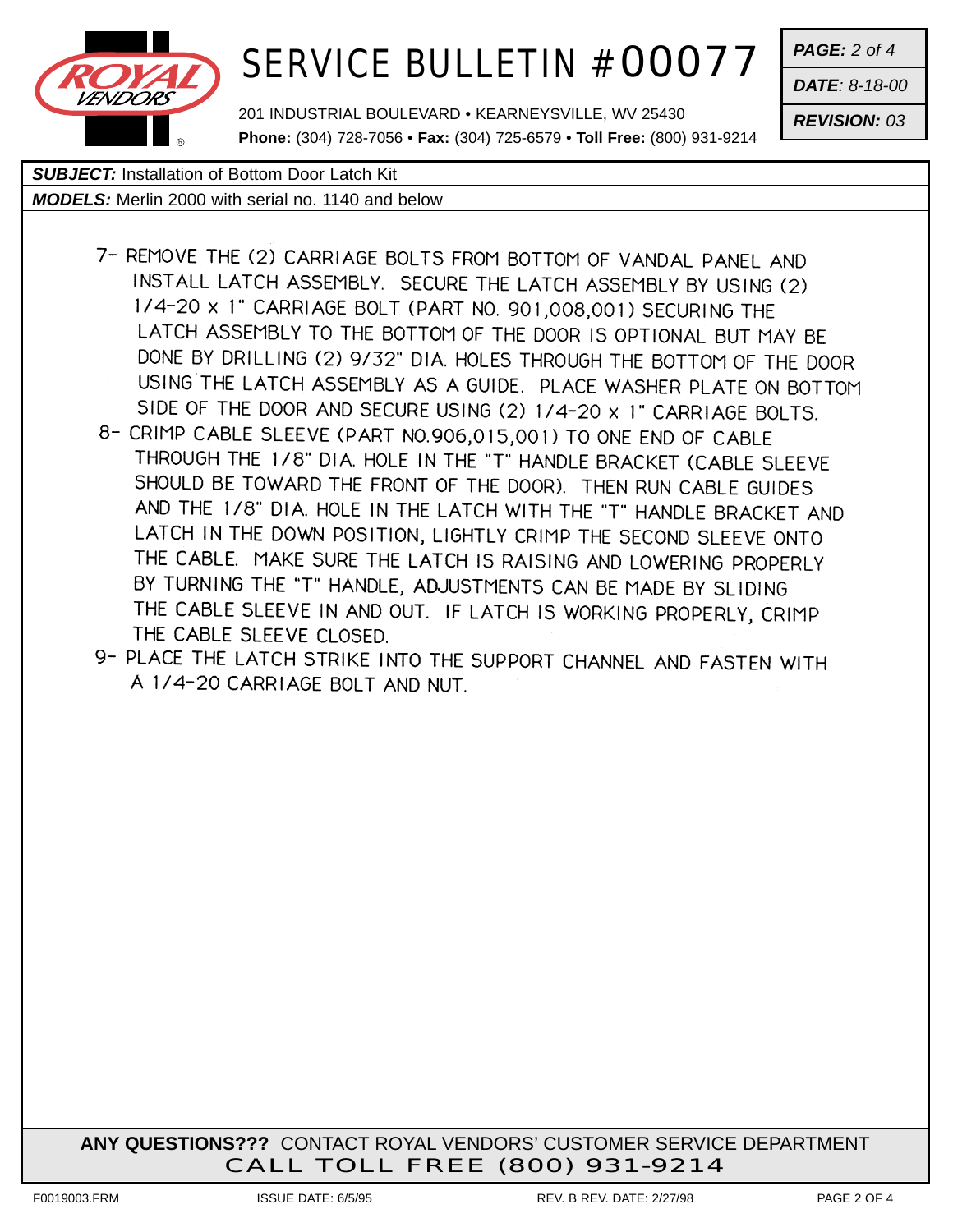

201 INDUSTRIAL BOULEVARD • KEARNEYSVILLE, WV 25430 **Phone:** (304) 728-7056 • **Fax:** (304) 725-6579 • **Toll Free:** (800) 931-9214 *PAGE: 2 of 4*

*DATE: 8-18-00*

*REVISION: 03*

#### *SUBJECT:* Installation of Bottom Door Latch Kit

*MODELS:* Merlin 2000 with serial no. 1140 and below

- 7- REMOVE THE (2) CARRIAGE BOLTS FROM BOTTOM OF VANDAL PANEL AND INSTALL LATCH ASSEMBLY. SECURE THE LATCH ASSEMBLY BY USING (2) 1/4-20 x 1" CARRIAGE BOLT (PART NO. 901,008,001) SECURING THE LATCH ASSEMBLY TO THE BOTTOM OF THE DOOR IS OPTIONAL BUT MAY BE DONE BY DRILLING (2) 9/32" DIA. HOLES THROUGH THE BOTTOM OF THE DOOR USING THE LATCH ASSEMBLY AS A GUIDE. PLACE WASHER PLATE ON BOTTOM SIDE OF THE DOOR AND SECURE USING (2) 1/4-20 x 1" CARRIAGE BOLTS.
- 8- CRIMP CABLE SLEEVE (PART NO.906,015,001) TO ONE END OF CABLE THROUGH THE 1/8" DIA. HOLE IN THE "T" HANDLE BRACKET (CABLE SLEEVE SHOULD BE TOWARD THE FRONT OF THE DOOR). THEN RUN CABLE GUIDES AND THE 1/8" DIA. HOLE IN THE LATCH WITH THE "T" HANDLE BRACKET AND LATCH IN THE DOWN POSITION, LIGHTLY CRIMP THE SECOND SLEEVE ONTO THE CABLE. MAKE SURE THE LATCH IS RAISING AND LOWERING PROPERLY BY TURNING THE "T" HANDLE, ADJUSTMENTS CAN BE MADE BY SLIDING THE CABLE SLEEVE IN AND OUT. IF LATCH IS WORKING PROPERLY, CRIMP THE CABLE SLEEVE CLOSED.
- 9- PLACE THE LATCH STRIKE INTO THE SUPPORT CHANNEL AND FASTEN WITH A 1/4-20 CARRIAGE BOLT AND NUT.

**ANY QUESTIONS???** CONTACT ROYAL VENDORS' CUSTOMER SERVICE DEPARTMENT CALL TOLL FREE (800) 931-9214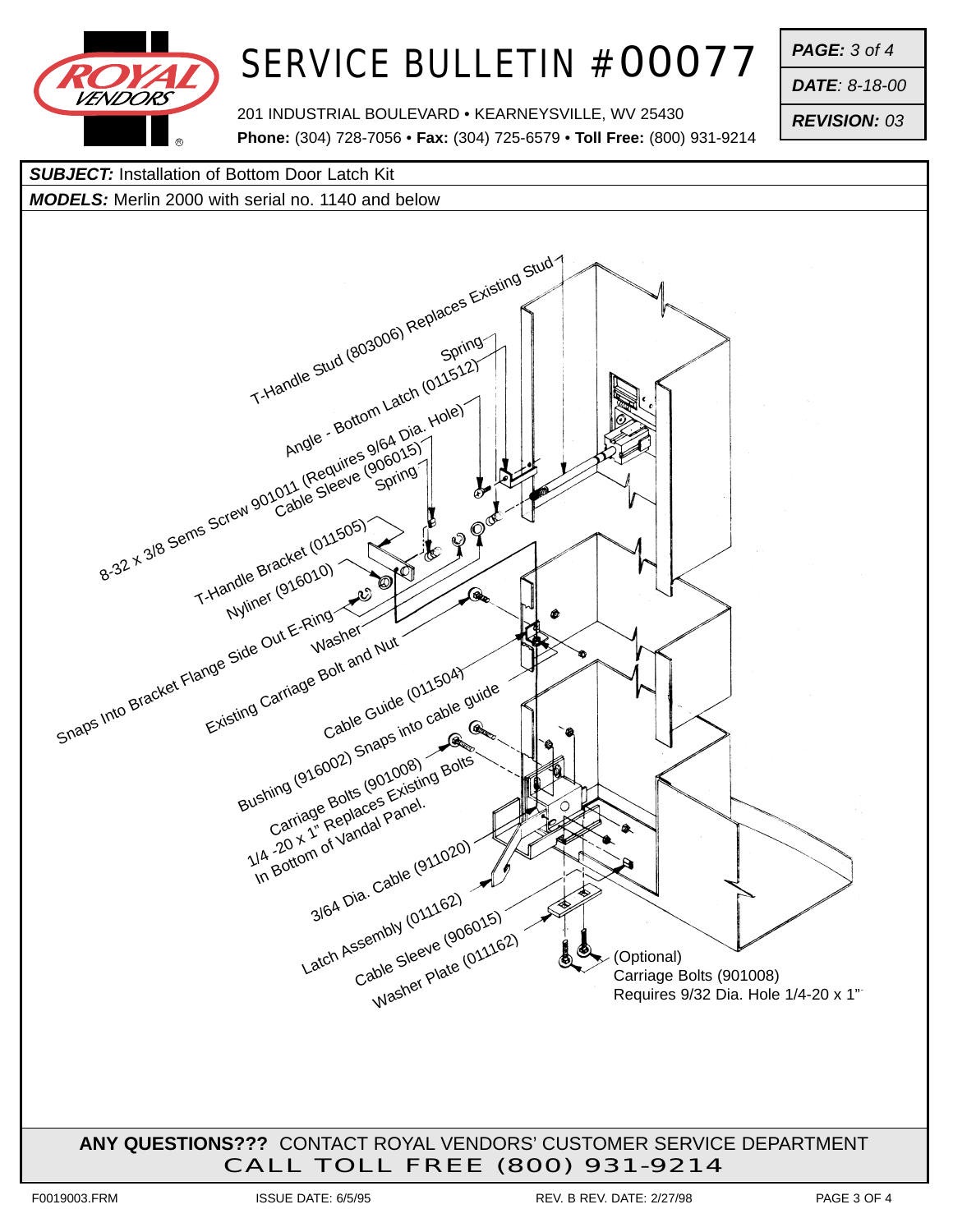

*PAGE: 3 of 4*

*DATE: 8-18-00*

*REVISION: 03*

201 INDUSTRIAL BOULEVARD • KEARNEYSVILLE, WV 25430 **Phone:** (304) 728-7056 • **Fax:** (304) 725-6579 • **Toll Free:** (800) 931-9214

*SUBJECT:* Installation of Bottom Door Latch Kit

*MODELS:* Merlin 2000 with serial no. 1140 and below